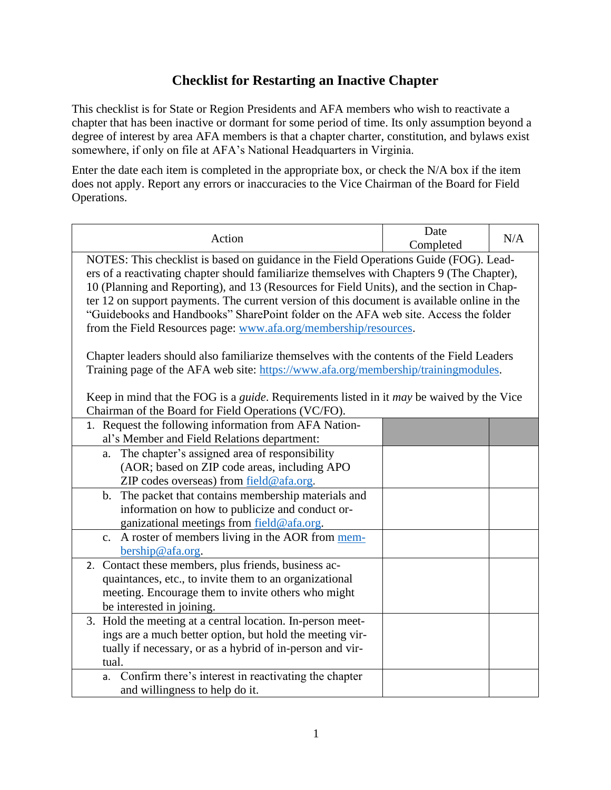## **Checklist for Restarting an Inactive Chapter**

This checklist is for State or Region Presidents and AFA members who wish to reactivate a chapter that has been inactive or dormant for some period of time. Its only assumption beyond a degree of interest by area AFA members is that a chapter charter, constitution, and bylaws exist somewhere, if only on file at AFA's National Headquarters in Virginia.

Enter the date each item is completed in the appropriate box, or check the N/A box if the item does not apply. Report any errors or inaccuracies to the Vice Chairman of the Board for Field Operations.

| Action                                                                                                                                                                                                                                                                                                                                                                                                                                                                                                                                                                                                                                                                                                                                                                                                                                    | Date<br>Completed | N/A |  |  |
|-------------------------------------------------------------------------------------------------------------------------------------------------------------------------------------------------------------------------------------------------------------------------------------------------------------------------------------------------------------------------------------------------------------------------------------------------------------------------------------------------------------------------------------------------------------------------------------------------------------------------------------------------------------------------------------------------------------------------------------------------------------------------------------------------------------------------------------------|-------------------|-----|--|--|
| NOTES: This checklist is based on guidance in the Field Operations Guide (FOG). Lead-<br>ers of a reactivating chapter should familiarize themselves with Chapters 9 (The Chapter),<br>10 (Planning and Reporting), and 13 (Resources for Field Units), and the section in Chap-<br>ter 12 on support payments. The current version of this document is available online in the<br>"Guidebooks and Handbooks" SharePoint folder on the AFA web site. Access the folder<br>from the Field Resources page: www.afa.org/membership/resources.<br>Chapter leaders should also familiarize themselves with the contents of the Field Leaders<br>Training page of the AFA web site: https://www.afa.org/membership/trainingmodules.<br>Keep in mind that the FOG is a <i>guide</i> . Requirements listed in it <i>may</i> be waived by the Vice |                   |     |  |  |
| Chairman of the Board for Field Operations (VC/FO).                                                                                                                                                                                                                                                                                                                                                                                                                                                                                                                                                                                                                                                                                                                                                                                       |                   |     |  |  |
| 1. Request the following information from AFA Nation-<br>al's Member and Field Relations department:                                                                                                                                                                                                                                                                                                                                                                                                                                                                                                                                                                                                                                                                                                                                      |                   |     |  |  |
| The chapter's assigned area of responsibility<br>a.<br>(AOR; based on ZIP code areas, including APO<br>ZIP codes overseas) from field@afa.org.                                                                                                                                                                                                                                                                                                                                                                                                                                                                                                                                                                                                                                                                                            |                   |     |  |  |
| The packet that contains membership materials and<br>$\mathbf{b}$ .<br>information on how to publicize and conduct or-<br>ganizational meetings from field@afa.org.                                                                                                                                                                                                                                                                                                                                                                                                                                                                                                                                                                                                                                                                       |                   |     |  |  |
| c. A roster of members living in the AOR from mem-<br>bership@afa.org.                                                                                                                                                                                                                                                                                                                                                                                                                                                                                                                                                                                                                                                                                                                                                                    |                   |     |  |  |
| 2. Contact these members, plus friends, business ac-<br>quaintances, etc., to invite them to an organizational<br>meeting. Encourage them to invite others who might<br>be interested in joining.                                                                                                                                                                                                                                                                                                                                                                                                                                                                                                                                                                                                                                         |                   |     |  |  |
| 3. Hold the meeting at a central location. In-person meet-<br>ings are a much better option, but hold the meeting vir-<br>tually if necessary, or as a hybrid of in-person and vir-<br>tual.                                                                                                                                                                                                                                                                                                                                                                                                                                                                                                                                                                                                                                              |                   |     |  |  |
| Confirm there's interest in reactivating the chapter<br>a.<br>and willingness to help do it.                                                                                                                                                                                                                                                                                                                                                                                                                                                                                                                                                                                                                                                                                                                                              |                   |     |  |  |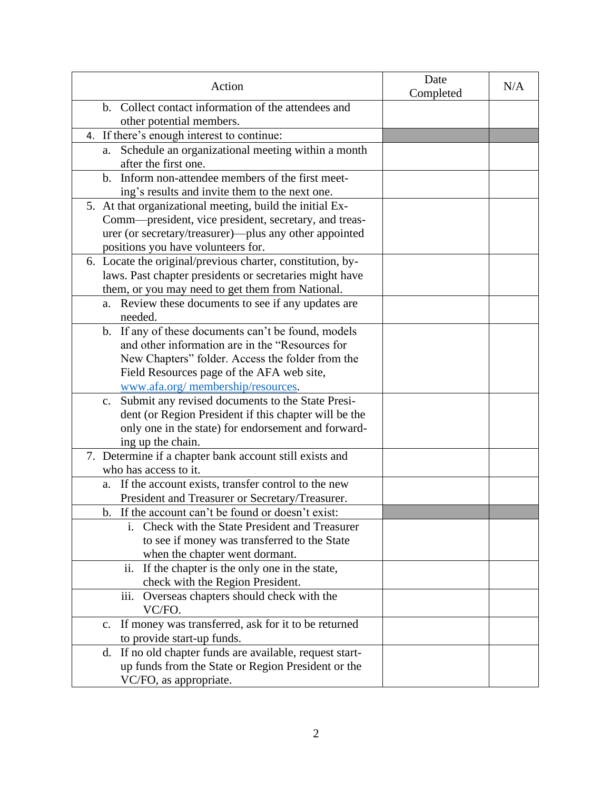| Action                                                               | Date<br>Completed | N/A |
|----------------------------------------------------------------------|-------------------|-----|
| b. Collect contact information of the attendees and                  |                   |     |
| other potential members.                                             |                   |     |
| 4. If there's enough interest to continue:                           |                   |     |
| Schedule an organizational meeting within a month<br>a.              |                   |     |
| after the first one.                                                 |                   |     |
| b. Inform non-attendee members of the first meet-                    |                   |     |
| ing's results and invite them to the next one.                       |                   |     |
| 5. At that organizational meeting, build the initial Ex-             |                   |     |
| Comm—president, vice president, secretary, and treas-                |                   |     |
| urer (or secretary/treasurer)—plus any other appointed               |                   |     |
| positions you have volunteers for.                                   |                   |     |
| 6. Locate the original/previous charter, constitution, by-           |                   |     |
| laws. Past chapter presidents or secretaries might have              |                   |     |
| them, or you may need to get them from National.                     |                   |     |
| a. Review these documents to see if any updates are                  |                   |     |
| needed.                                                              |                   |     |
| b. If any of these documents can't be found, models                  |                   |     |
| and other information are in the "Resources for                      |                   |     |
| New Chapters" folder. Access the folder from the                     |                   |     |
| Field Resources page of the AFA web site,                            |                   |     |
| www.afa.org/membership/resources.                                    |                   |     |
| Submit any revised documents to the State Presi-<br>$\mathbf{c}$ .   |                   |     |
| dent (or Region President if this chapter will be the                |                   |     |
| only one in the state) for endorsement and forward-                  |                   |     |
| ing up the chain.                                                    |                   |     |
| 7. Determine if a chapter bank account still exists and              |                   |     |
| who has access to it.                                                |                   |     |
| If the account exists, transfer control to the new<br>a.             |                   |     |
| President and Treasurer or Secretary/Treasurer.                      |                   |     |
| b. If the account can't be found or doesn't exist:                   |                   |     |
| i. Check with the State President and Treasurer                      |                   |     |
| to see if money was transferred to the State                         |                   |     |
| when the chapter went dormant.                                       |                   |     |
| ii. If the chapter is the only one in the state,                     |                   |     |
| check with the Region President.                                     |                   |     |
| iii. Overseas chapters should check with the<br>VC/FO.               |                   |     |
| If money was transferred, ask for it to be returned<br>$C_{\bullet}$ |                   |     |
| to provide start-up funds.                                           |                   |     |
| If no old chapter funds are available, request start-<br>d.          |                   |     |
| up funds from the State or Region President or the                   |                   |     |
| VC/FO, as appropriate.                                               |                   |     |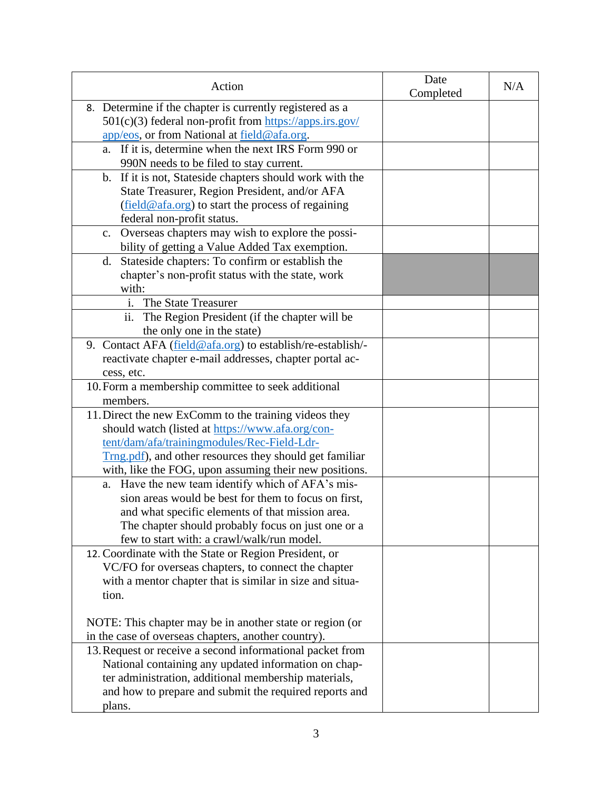| Action                                                                                                                                                             | Date<br>Completed | N/A |
|--------------------------------------------------------------------------------------------------------------------------------------------------------------------|-------------------|-----|
| 8. Determine if the chapter is currently registered as a<br>501(c)(3) federal non-profit from https://apps.irs.gov/<br>app/eos, or from National at field@afa.org. |                   |     |
| If it is, determine when the next IRS Form 990 or<br>a.<br>990N needs to be filed to stay current.                                                                 |                   |     |
| b. If it is not, Stateside chapters should work with the                                                                                                           |                   |     |
| State Treasurer, Region President, and/or AFA<br>(field@afa.org) to start the process of regaining                                                                 |                   |     |
| federal non-profit status.                                                                                                                                         |                   |     |
| Overseas chapters may wish to explore the possi-<br>$\mathbf{c}$ .                                                                                                 |                   |     |
| bility of getting a Value Added Tax exemption.                                                                                                                     |                   |     |
| d. Stateside chapters: To confirm or establish the<br>chapter's non-profit status with the state, work                                                             |                   |     |
| with:                                                                                                                                                              |                   |     |
| The State Treasurer<br>$\mathbf{i}$ .                                                                                                                              |                   |     |
| The Region President (if the chapter will be<br>$\overline{11}$ .                                                                                                  |                   |     |
| the only one in the state)                                                                                                                                         |                   |     |
| 9. Contact AFA (field@afa.org) to establish/re-establish/-                                                                                                         |                   |     |
| reactivate chapter e-mail addresses, chapter portal ac-                                                                                                            |                   |     |
| cess, etc.                                                                                                                                                         |                   |     |
| 10. Form a membership committee to seek additional                                                                                                                 |                   |     |
| members.                                                                                                                                                           |                   |     |
| 11. Direct the new ExComm to the training videos they<br>should watch (listed at https://www.afa.org/con-                                                          |                   |     |
| tent/dam/afa/trainingmodules/Rec-Field-Ldr-                                                                                                                        |                   |     |
| Trng.pdf), and other resources they should get familiar                                                                                                            |                   |     |
| with, like the FOG, upon assuming their new positions.                                                                                                             |                   |     |
| a. Have the new team identify which of AFA's mis-                                                                                                                  |                   |     |
| sion areas would be best for them to focus on first,                                                                                                               |                   |     |
| and what specific elements of that mission area.                                                                                                                   |                   |     |
| The chapter should probably focus on just one or a                                                                                                                 |                   |     |
| few to start with: a crawl/walk/run model.                                                                                                                         |                   |     |
| 12. Coordinate with the State or Region President, or                                                                                                              |                   |     |
| VC/FO for overseas chapters, to connect the chapter                                                                                                                |                   |     |
| with a mentor chapter that is similar in size and situa-                                                                                                           |                   |     |
| tion.                                                                                                                                                              |                   |     |
| NOTE: This chapter may be in another state or region (or                                                                                                           |                   |     |
| in the case of overseas chapters, another country).                                                                                                                |                   |     |
| 13. Request or receive a second informational packet from                                                                                                          |                   |     |
| National containing any updated information on chap-                                                                                                               |                   |     |
| ter administration, additional membership materials,                                                                                                               |                   |     |
| and how to prepare and submit the required reports and                                                                                                             |                   |     |
| plans.                                                                                                                                                             |                   |     |